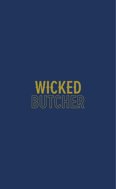